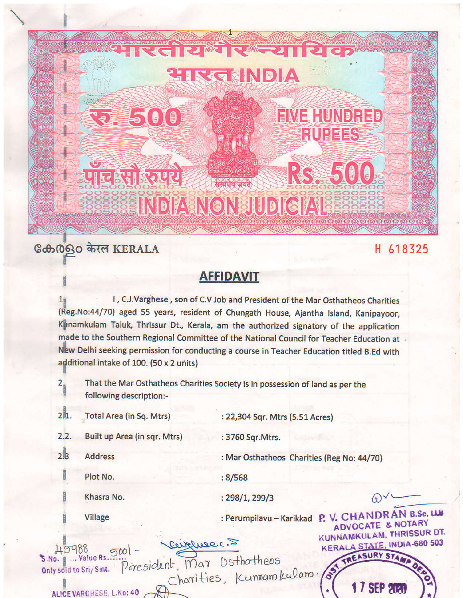## RS\$500 **CIERTIFOLD** .<br>सत्यपेव जयते INDIA NON JUDICIAL

CIRCEINDIA

## கேல் கொள் KERALA

■5009

## **AFFIDAVIT**

I, C.J.Varghese, son of C.V Job and President of the Mar Osthatheos Charities (Reg.No:44/70) aged 55 years, resident of Chungath House, Ajantha Island, Kanipayoor, Kunamkulam Taluk, Thrissur Dt., Kerala, am the authorized signatory of the application made to the Southern Regional Committee of the National Council for Teacher Education at New Delhi seeking permission for conducting a course in Teacher Education titled B.Ed with additional intake of 100. (50 x 2 units)

 $2.5$ That the Mar Osthatheos Charities Society is in possession of land as per the following description:-

2h. Total Area (in Sq. Mtrs)

: 22,304 Sqr. Mtrs (5.51 Acres)

 $2.2.$ Built up Area (in sqr. Mtrs) : 3760 Sqr. Mtrs.

 $2B$ **Address** 

: Mar Osthatheos Charities (Reg No: 44/70)

**EIVE HUNDRED** 

**RUPEES** 

H 618325

ADVOCATE & NOTARY

**KERALA STATE, INDIA-680 503** 

7 SEP 2121

TREASURY STAN

 $: 8/568$ 

Khasra No.

Plot No.

 $: 298/1, 299/3$ 

Village

: Perumpilavu - Karikkad P. V. CHANDRAN B.Sc, U.S. KUNNAMKULAM, THRISSUR DT.

Ceiphrec. 5  $500 -$ Only sold to Sri/Smt. Poresident, Mar Osthatheos S.No. . . . . Value Rs

Charities, Icumam kulam.

ALICE VARGHESE, L.No: 40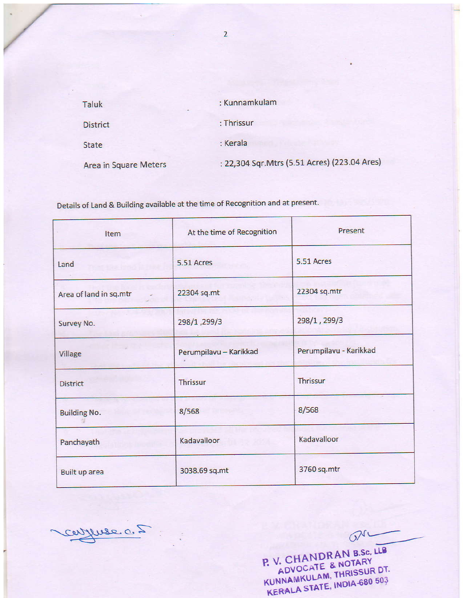| Taluk                 | : Kunnamkulam                                 |
|-----------------------|-----------------------------------------------|
| <b>District</b>       | : Thrissur                                    |
| <b>State</b>          | : Kerala                                      |
| Area in Square Meters | : 22,304 Sqr. Mtrs (5.51 Acres) (223.04 Ares) |

Details of Land & Building available at the time of Recognition and at present.

| Item                   | At the time of Recognition | Present                |
|------------------------|----------------------------|------------------------|
| Land                   | 5.51 Acres                 | 5.51 Acres             |
| Area of land in sq.mtr | 22304 sq.mt                | 22304 sq.mtr           |
| Survey No.             | 298/1,299/3                | 298/1, 299/3           |
| Village                | Perumpilavu - Karikkad     | Perumpilavu - Karikkad |
| <b>District</b>        | <b>Thrissur</b>            | Thrissur               |
| <b>Building No.</b>    | 8/568                      | 8/568                  |
| Panchayath             | Kadavalloor                | Kadavalloor            |
| Built up area          | 3038.69 sq.mt              | 3760 sq.mtr            |

CONTUSE OF ... ON KUNNAMKULAM, THRISSUR DT.<br>KERALA STATE, INDIA-680 503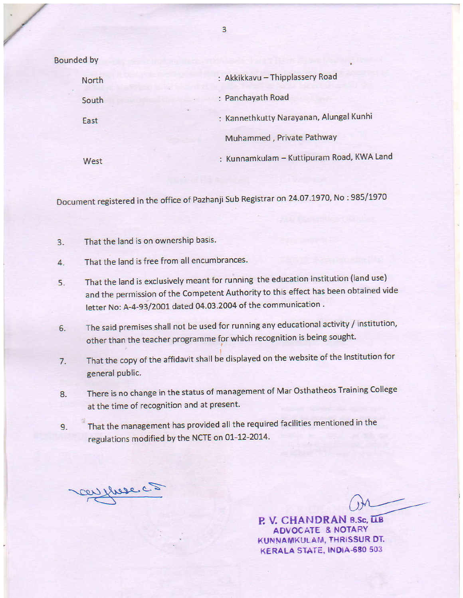Eounded by

| North | : Akkikkavu - Thipplassery Road           |
|-------|-------------------------------------------|
| South | : Panchayath Road                         |
| East  | : Kannethkutty Narayanan, Alungal Kunhi   |
|       | Muhammed, Private Pathway                 |
| West  | : Kunnamkulam - Kuttipuram Road, KWA Land |

Document registered in the office of Pazhanji Sub Registrar on 24.07.1970, No : 985/1970

- 3. That the land is on ownership basis.
- 4. That the land is free from all encumbrances.
- 5. That the land is exclusively meant for running the education institution (land use) and the permission of the Competent Authoriiy to this effect has been obtained vide letter No: A-4-93/2001 dated 04.03.2004 of the communication.
- 6. The said premises shall not be used for running any educational activity / institution, other than the teacher programme for which recognition is being sought.
- 7. That the copy of the affidavit shall be displayed on the website of the Institution for general public.
- 8. There is no change in the status of management of Mar Osthatheos Training College at the time of recognition and at present.
- 9. That the management has provided all the required facilities mentioned in the regulations modified by the NCTE on 01-12-2014.

con three c. 2

 $Qn$ 

P. V. CHANDRAN B.Sc, LLB AOVOCATE & NOTARY KUNNAMKULAM, THRISSUR DT. KERALA STATE, INDIA-680 503

3